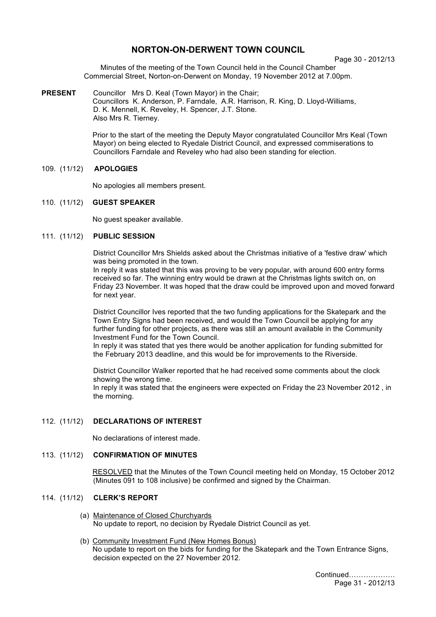# **NORTON-ON-DERWENT TOWN COUNCIL**

Page 30 - 2012/13

Minutes of the meeting of the Town Council held in the Council Chamber Commercial Street, Norton-on-Derwent on Monday, 19 November 2012 at 7.00pm.

**PRESENT** Councillor Mrs D. Keal (Town Mayor) in the Chair; Councillors K. Anderson, P. Farndale, A.R. Harrison, R. King, D. Lloyd-Williams, D. K. Mennell, K. Reveley, H. Spencer, J.T. Stone. Also Mrs R. Tierney.

> Prior to the start of the meeting the Deputy Mayor congratulated Councillor Mrs Keal (Town Mayor) on being elected to Ryedale District Council, and expressed commiserations to Councillors Farndale and Reveley who had also been standing for election.

### 109. (11/12) **APOLOGIES**

No apologies all members present.

### 110. (11/12) **GUEST SPEAKER**

No guest speaker available.

## 111. (11/12) **PUBLIC SESSION**

District Councillor Mrs Shields asked about the Christmas initiative of a 'festive draw' which was being promoted in the town.

In reply it was stated that this was proving to be very popular, with around 600 entry forms received so far. The winning entry would be drawn at the Christmas lights switch on, on Friday 23 November. It was hoped that the draw could be improved upon and moved forward for next year.

District Councillor Ives reported that the two funding applications for the Skatepark and the Town Entry Signs had been received, and would the Town Council be applying for any further funding for other projects, as there was still an amount available in the Community Investment Fund for the Town Council.

In reply it was stated that yes there would be another application for funding submitted for the February 2013 deadline, and this would be for improvements to the Riverside.

District Councillor Walker reported that he had received some comments about the clock showing the wrong time.

In reply it was stated that the engineers were expected on Friday the 23 November 2012 , in the morning.

## 112. (11/12) **DECLARATIONS OF INTEREST**

No declarations of interest made.

## 113. (11/12) **CONFIRMATION OF MINUTES**

 RESOLVED that the Minutes of the Town Council meeting held on Monday, 15 October 2012 (Minutes 091 to 108 inclusive) be confirmed and signed by the Chairman.

## 114. (11/12) **CLERK'S REPORT**

- (a) Maintenance of Closed Churchyards No update to report, no decision by Ryedale District Council as yet.
- (b) Community Investment Fund (New Homes Bonus) No update to report on the bids for funding for the Skatepark and the Town Entrance Signs, decision expected on the 27 November 2012.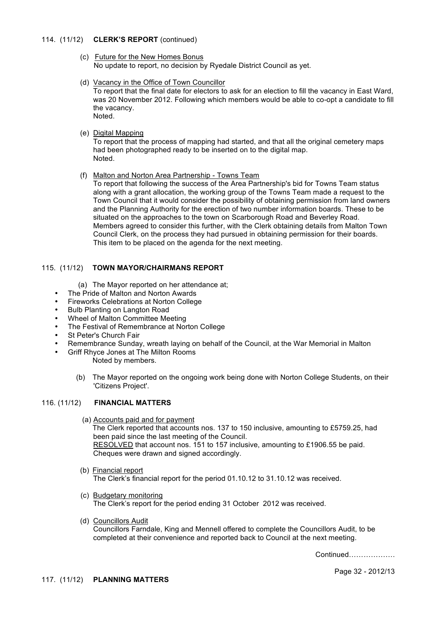### 114. (11/12) **CLERK'S REPORT** (continued)

- (c) Future for the New Homes Bonus No update to report, no decision by Ryedale District Council as yet.
- (d) Vacancy in the Office of Town Councillor

To report that the final date for electors to ask for an election to fill the vacancy in East Ward, was 20 November 2012. Following which members would be able to co-opt a candidate to fill the vacancy. Noted.

(e) Digital Mapping

To report that the process of mapping had started, and that all the original cemetery maps had been photographed ready to be inserted on to the digital map. Noted.

(f) Malton and Norton Area Partnership - Towns Team

To report that following the success of the Area Partnership's bid for Towns Team status along with a grant allocation, the working group of the Towns Team made a request to the Town Council that it would consider the possibility of obtaining permission from land owners and the Planning Authority for the erection of two number information boards. These to be situated on the approaches to the town on Scarborough Road and Beverley Road. Members agreed to consider this further, with the Clerk obtaining details from Malton Town Council Clerk, on the process they had pursued in obtaining permission for their boards. This item to be placed on the agenda for the next meeting.

## 115. (11/12) **TOWN MAYOR/CHAIRMANS REPORT**

- (a) The Mayor reported on her attendance at;
- The Pride of Malton and Norton Awards
- Fireworks Celebrations at Norton College
- Bulb Planting on Langton Road
- Wheel of Malton Committee Meeting
- The Festival of Remembrance at Norton College
- **St Peter's Church Fair**
- Remembrance Sunday, wreath laying on behalf of the Council, at the War Memorial in Malton
- Griff Rhyce Jones at The Milton Rooms Noted by members.
	- (b) The Mayor reported on the ongoing work being done with Norton College Students, on their 'Citizens Project'.

### 116. (11/12) **FINANCIAL MATTERS**

(a) Accounts paid and for payment

The Clerk reported that accounts nos. 137 to 150 inclusive, amounting to £5759.25, had been paid since the last meeting of the Council. RESOLVED that account nos. 151 to 157 inclusive, amounting to £1906.55 be paid. Cheques were drawn and signed accordingly.

- (b) Financial report The Clerk's financial report for the period 01.10.12 to 31.10.12 was received.
- (c) Budgetary monitoring The Clerk's report for the period ending 31 October 2012 was received.
- (d) Councillors Audit

Councillors Farndale, King and Mennell offered to complete the Councillors Audit, to be completed at their convenience and reported back to Council at the next meeting.

Continued……………….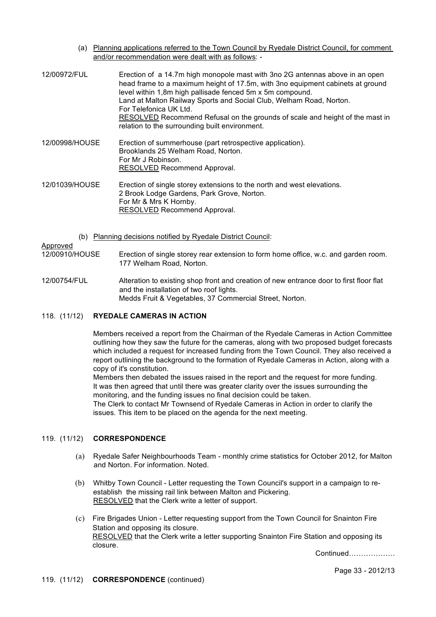(a) Planning applications referred to the Town Council by Ryedale District Council, for comment and/or recommendation were dealt with as follows: -

| 12/00972/FUL   | Erection of a 14.7m high monopole mast with 3no 2G antennas above in an open<br>head frame to a maximum height of 17.5m, with 3no equipment cabinets at ground<br>level within 1,8m high pallisade fenced 5m x 5m compound.<br>Land at Malton Railway Sports and Social Club, Welham Road, Norton.<br>For Telefonica UK Ltd.<br>RESOLVED Recommend Refusal on the grounds of scale and height of the mast in<br>relation to the surrounding built environment. |
|----------------|----------------------------------------------------------------------------------------------------------------------------------------------------------------------------------------------------------------------------------------------------------------------------------------------------------------------------------------------------------------------------------------------------------------------------------------------------------------|
| 12/00998/HOUSE | Erection of summerhouse (part retrospective application).                                                                                                                                                                                                                                                                                                                                                                                                      |

Brooklands 25 Welham Road, Norton. For Mr J Robinson. RESOLVED Recommend Approval.

12/01039/HOUSE Erection of single storey extensions to the north and west elevations. 2 Brook Lodge Gardens, Park Grove, Norton. For Mr & Mrs K Hornby. RESOLVED Recommend Approval.

(b) Planning decisions notified by Ryedale District Council:

## Approved

12/00910/HOUSE Erection of single storey rear extension to form home office, w.c. and garden room. 177 Welham Road, Norton.

12/00754/FUL Alteration to existing shop front and creation of new entrance door to first floor flat and the installation of two roof lights. Medds Fruit & Vegetables, 37 Commercial Street, Norton.

## 118. (11/12) **RYEDALE CAMERAS IN ACTION**

Members received a report from the Chairman of the Ryedale Cameras in Action Committee outlining how they saw the future for the cameras, along with two proposed budget forecasts which included a request for increased funding from the Town Council. They also received a report outlining the background to the formation of Ryedale Cameras in Action, along with a copy of it's constitution.

Members then debated the issues raised in the report and the request for more funding. It was then agreed that until there was greater clarity over the issues surrounding the monitoring, and the funding issues no final decision could be taken.

The Clerk to contact Mr Townsend of Ryedale Cameras in Action in order to clarify the issues. This item to be placed on the agenda for the next meeting.

## 119. (11/12) **CORRESPONDENCE**

- (a) Ryedale Safer Neighbourhoods Team monthly crime statistics for October 2012, for Malton and Norton. For information. Noted.
- (b) Whitby Town Council Letter requesting the Town Council's support in a campaign to reestablish the missing rail link between Malton and Pickering. RESOLVED that the Clerk write a letter of support.
- (c) Fire Brigades Union Letter requesting support from the Town Council for Snainton Fire Station and opposing its closure. RESOLVED that the Clerk write a letter supporting Snainton Fire Station and opposing its closure.

Continued……………….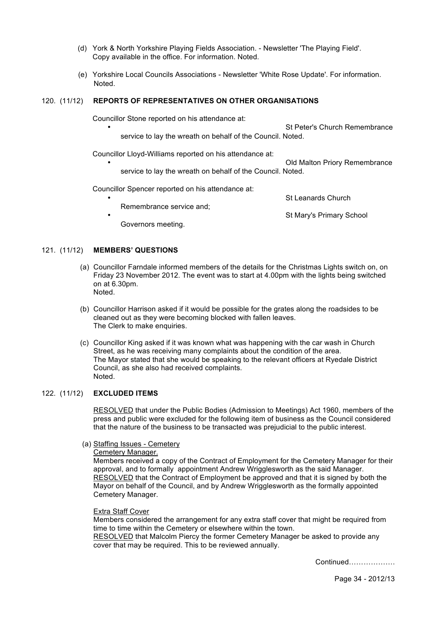- (d) York & North Yorkshire Playing Fields Association. Newsletter 'The Playing Field'. Copy available in the office. For information. Noted.
- (e) Yorkshire Local Councils Associations Newsletter 'White Rose Update'. For information. Noted.

## 120. (11/12) **REPORTS OF REPRESENTATIVES ON OTHER ORGANISATIONS**

Councillor Stone reported on his attendance at:

St Peter's Church Remembrance service to lay the wreath on behalf of the Council. Noted.

Councillor Lloyd-Williams reported on his attendance at:

• Old Malton Priory Remembrance service to lay the wreath on behalf of the Council. Noted.

Councillor Spencer reported on his attendance at:

St Leanards Church Remembrance service and; • **• St Mary's Primary School •** St Mary's Primary School **•** St Mary's Primary School **•** Governors meeting.

#### 121. (11/12) **MEMBERS' QUESTIONS**

- (a) Councillor Farndale informed members of the details for the Christmas Lights switch on, on Friday 23 November 2012. The event was to start at 4.00pm with the lights being switched on at 6.30pm. Noted.
- (b) Councillor Harrison asked if it would be possible for the grates along the roadsides to be cleaned out as they were becoming blocked with fallen leaves. The Clerk to make enquiries.
- (c) Councillor King asked if it was known what was happening with the car wash in Church Street, as he was receiving many complaints about the condition of the area. The Mayor stated that she would be speaking to the relevant officers at Ryedale District Council, as she also had received complaints. Noted.

#### 122. (11/12) **EXCLUDED ITEMS**

RESOLVED that under the Public Bodies (Admission to Meetings) Act 1960, members of the press and public were excluded for the following item of business as the Council considered that the nature of the business to be transacted was prejudicial to the public interest.

(a) Staffing Issues - Cemetery

Cemetery Manager.

Members received a copy of the Contract of Employment for the Cemetery Manager for their approval, and to formally appointment Andrew Wrigglesworth as the said Manager. RESOLVED that the Contract of Employment be approved and that it is signed by both the Mayor on behalf of the Council, and by Andrew Wrigglesworth as the formally appointed Cemetery Manager.

#### Extra Staff Cover

Members considered the arrangement for any extra staff cover that might be required from time to time within the Cemetery or elsewhere within the town. RESOLVED that Malcolm Piercy the former Cemetery Manager be asked to provide any cover that may be required. This to be reviewed annually.

Continued……………….